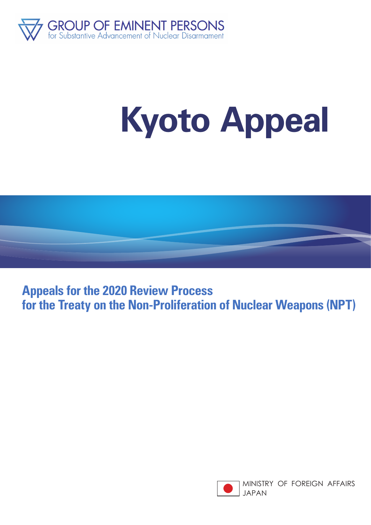

## **Kyoto Appeal**



**Appeals for the 2020 Review Process for the Treaty on the Non-Proliferation of Nuclear Weapons (NPT)**

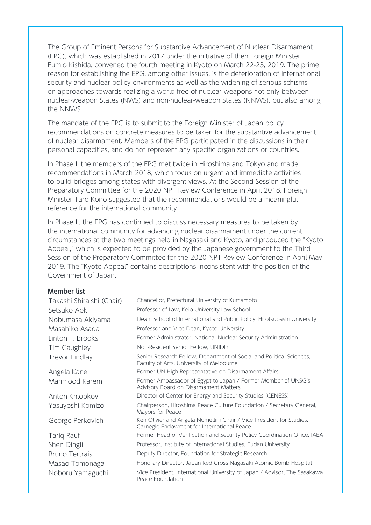The Group of Eminent Persons for Substantive Advancement of Nuclear Disarmament (EPG), which was established in 2017 under the initiative of then Foreign Minister Fumio Kishida, convened the fourth meeting in Kyoto on March 22-23, 2019. The prime reason for establishing the EPG, among other issues, is the deterioration of international security and nuclear policy environments as well as the widening of serious schisms on approaches towards realizing a world free of nuclear weapons not only between nuclear-weapon States (NWS) and non-nuclear-weapon States (NNWS), but also among the NNWS.

The mandate of the EPG is to submit to the Foreign Minister of Japan policy recommendations on concrete measures to be taken for the substantive advancement of nuclear disarmament. Members of the EPG participated in the discussions in their personal capacities, and do not represent any specific organizations or countries.

In Phase I, the members of the EPG met twice in Hiroshima and Tokyo and made recommendations in March 2018, which focus on urgent and immediate activities to build bridges among states with divergent views. At the Second Session of the Preparatory Committee for the 2020 NPT Review Conference in April 2018, Foreign Minister Taro Kono suggested that the recommendations would be a meaningful reference for the international community.

In Phase II, the EPG has continued to discuss necessary measures to be taken by the international community for advancing nuclear disarmament under the current circumstances at the two meetings held in Nagasaki and Kyoto, and produced the "Kyoto Appeal," which is expected to be provided by the Japanese government to the Third Session of the Preparatory Committee for the 2020 NPT Review Conference in April-May 2019. The "Kyoto Appeal" contains descriptions inconsistent with the position of the Government of Japan.

## **Member list**

| Takashi Shiraishi (Chair) | Chancellor, Prefectural University of Kumamoto                                                                     |
|---------------------------|--------------------------------------------------------------------------------------------------------------------|
| Setsuko Aoki              | Professor of Law, Keio University Law School                                                                       |
| Nobumasa Akiyama          | Dean, School of International and Public Policy, Hitotsubashi University                                           |
| Masahiko Asada            | Professor and Vice Dean, Kyoto University                                                                          |
| Linton F. Brooks          | Former Administrator, National Nuclear Security Administration                                                     |
| Tim Caughley              | Non-Resident Senior Fellow, UNIDIR                                                                                 |
| Trevor Findlay            | Senior Research Fellow, Department of Social and Political Sciences,<br>Faculty of Arts, University of Melbourne   |
| Angela Kane               | Former UN High Representative on Disarmament Affairs                                                               |
| Mahmood Karem             | Former Ambassador of Egypt to Japan / Former Member of UNSG's<br>Advisory Board on Disarmament Matters             |
| Anton Khlopkov            | Director of Center for Energy and Security Studies (CENESS)                                                        |
| Yasuyoshi Komizo          | Chairperson, Hiroshima Peace Culture Foundation / Secretary General,<br>Mayors for Peace                           |
| George Perkovich          | Ken Olivier and Angela Nomellini Chair / Vice President for Studies,<br>Carnegie Endowment for International Peace |
| Tariq Rauf                | Former Head of Verification and Security Policy Coordination Office, IAEA                                          |
| Shen Dingli               | Professor, Institute of International Studies, Fudan University                                                    |
| <b>Bruno Tertrais</b>     | Deputy Director, Foundation for Strategic Research                                                                 |
| Masao Tomonaga            | Honorary Director, Japan Red Cross Nagasaki Atomic Bomb Hospital                                                   |
| Noboru Yamaguchi          | Vice President, International University of Japan / Advisor, The Sasakawa<br>Peace Foundation                      |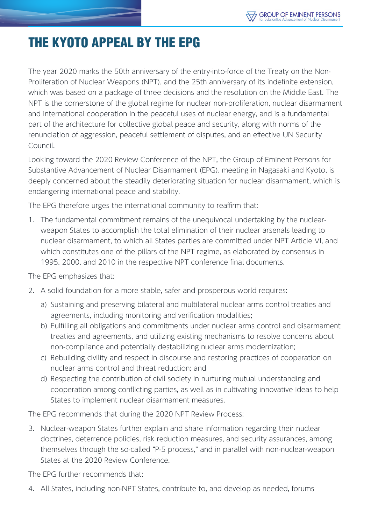## THE KYOTO APPEAL BY THE EPG

The year 2020 marks the 50th anniversary of the entry-into-force of the Treaty on the Non-Proliferation of Nuclear Weapons (NPT), and the 25th anniversary of its indefinite extension, which was based on a package of three decisions and the resolution on the Middle East. The NPT is the cornerstone of the global regime for nuclear non-proliferation, nuclear disarmament and international cooperation in the peaceful uses of nuclear energy, and is a fundamental part of the architecture for collective global peace and security, along with norms of the renunciation of aggression, peaceful settlement of disputes, and an effective UN Security Council.

Looking toward the 2020 Review Conference of the NPT, the Group of Eminent Persons for Substantive Advancement of Nuclear Disarmament (EPG), meeting in Nagasaki and Kyoto, is deeply concerned about the steadily deteriorating situation for nuclear disarmament, which is endangering international peace and stability.

The EPG therefore urges the international community to reaffirm that:

1. The fundamental commitment remains of the unequivocal undertaking by the nuclearweapon States to accomplish the total elimination of their nuclear arsenals leading to nuclear disarmament, to which all States parties are committed under NPT Article VI, and which constitutes one of the pillars of the NPT regime, as elaborated by consensus in 1995, 2000, and 2010 in the respective NPT conference final documents.

The EPG emphasizes that:

- 2. A solid foundation for a more stable, safer and prosperous world requires:
	- a) Sustaining and preserving bilateral and multilateral nuclear arms control treaties and agreements, including monitoring and verification modalities;
	- b) Fulfilling all obligations and commitments under nuclear arms control and disarmament treaties and agreements, and utilizing existing mechanisms to resolve concerns about non-compliance and potentially destabilizing nuclear arms modernization;
	- c) Rebuilding civility and respect in discourse and restoring practices of cooperation on nuclear arms control and threat reduction; and
	- d) Respecting the contribution of civil society in nurturing mutual understanding and cooperation among conflicting parties, as well as in cultivating innovative ideas to help States to implement nuclear disarmament measures.

The EPG recommends that during the 2020 NPT Review Process:

3. Nuclear-weapon States further explain and share information regarding their nuclear doctrines, deterrence policies, risk reduction measures, and security assurances, among themselves through the so-called "P-5 process," and in parallel with non-nuclear-weapon States at the 2020 Review Conference.

The EPG further recommends that:

4. All States, including non-NPT States, contribute to, and develop as needed, forums